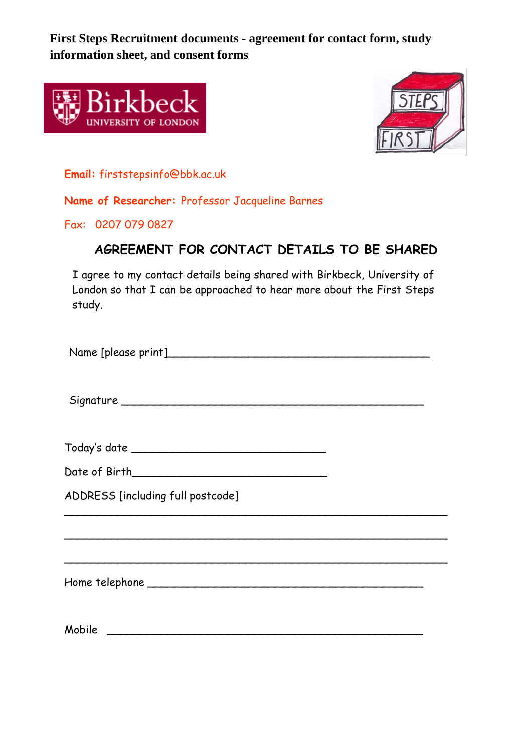**First Steps Recruitment documents - agreement for contact form, study information sheet, and consent forms**





**Email:** firststepsinfo@bbk.ac.uk

**Name of Researcher:** Professor Jacqueline Barnes

Fax: 0207 079 0827

# **AGREEMENT FOR CONTACT DETAILS TO BE SHARED**

I agree to my contact details being shared with Birkbeck, University of London so that I can be approached to hear more about the First Steps study.

Name [please print]\_\_\_\_\_\_\_\_\_\_\_\_\_\_\_\_\_\_\_\_\_\_\_\_\_\_\_\_\_\_\_\_\_\_\_\_\_\_\_ Signature \_\_\_\_\_\_\_\_\_\_\_\_\_\_\_\_\_\_\_\_\_\_\_\_\_\_\_\_\_\_\_\_\_\_\_\_\_\_\_\_\_\_\_\_\_ Today's date \_\_\_\_\_\_\_\_\_\_\_\_\_\_\_\_\_\_\_\_\_\_\_\_\_\_\_\_\_ Date of Birth\_\_\_\_\_\_\_\_\_\_\_\_\_\_\_\_\_\_\_\_\_\_\_\_\_\_\_\_\_ ADDRESS [including full postcode] \_\_\_\_\_\_\_\_\_\_\_\_\_\_\_\_\_\_\_\_\_\_\_\_\_\_\_\_\_\_\_\_\_\_\_\_\_\_\_\_\_\_\_\_\_\_\_\_\_\_\_\_\_\_\_\_\_ \_\_\_\_\_\_\_\_\_\_\_\_\_\_\_\_\_\_\_\_\_\_\_\_\_\_\_\_\_\_\_\_\_\_\_\_\_\_\_\_\_\_\_\_\_\_\_\_\_\_\_\_\_\_\_\_\_ \_\_\_\_\_\_\_\_\_\_\_\_\_\_\_\_\_\_\_\_\_\_\_\_\_\_\_\_\_\_\_\_\_\_\_\_\_\_\_\_\_\_\_\_\_\_\_\_\_\_\_\_\_\_\_\_\_ Home telephone \_\_\_\_\_\_\_\_\_\_\_\_\_\_\_\_\_\_\_\_\_\_\_\_\_\_\_\_\_\_\_\_\_\_\_\_\_\_\_\_\_

Mobile **Mobile** and the set of the set of the set of the set of the set of the set of the set of the set of the set of the set of the set of the set of the set of the set of the set of the set of the set of the set of the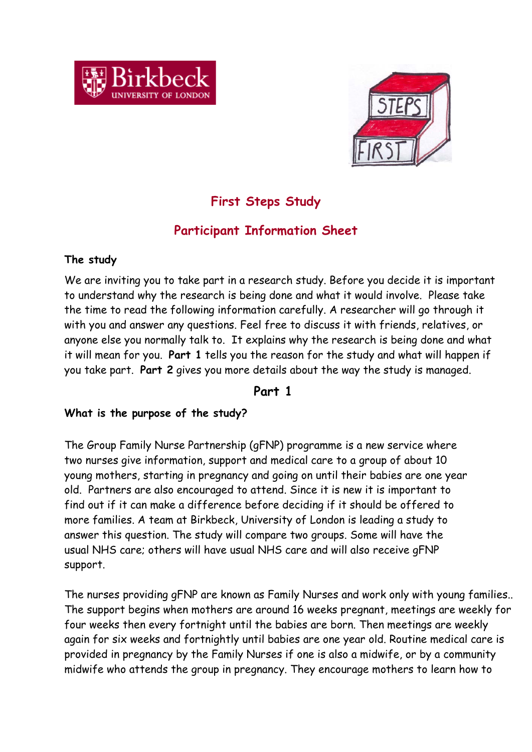



# **First Steps Study**

# **Participant Information Sheet**

### **The study**

We are inviting you to take part in a research study. Before you decide it is important to understand why the research is being done and what it would involve. Please take the time to read the following information carefully. A researcher will go through it with you and answer any questions. Feel free to discuss it with friends, relatives, or anyone else you normally talk to. It explains why the research is being done and what it will mean for you. **Part 1** tells you the reason for the study and what will happen if you take part. **Part 2** gives you more details about the way the study is managed.

### **Part 1**

### **What is the purpose of the study?**

The Group Family Nurse Partnership (gFNP) programme is a new service where two nurses give information, support and medical care to a group of about 10 young mothers, starting in pregnancy and going on until their babies are one year old. Partners are also encouraged to attend. Since it is new it is important to find out if it can make a difference before deciding if it should be offered to more families. A team at Birkbeck, University of London is leading a study to answer this question. The study will compare two groups. Some will have the usual NHS care; others will have usual NHS care and will also receive gFNP support.

The nurses providing gFNP are known as Family Nurses and work only with young families.. The support begins when mothers are around 16 weeks pregnant, meetings are weekly for four weeks then every fortnight until the babies are born. Then meetings are weekly again for six weeks and fortnightly until babies are one year old. Routine medical care is provided in pregnancy by the Family Nurses if one is also a midwife, or by a community midwife who attends the group in pregnancy. They encourage mothers to learn how to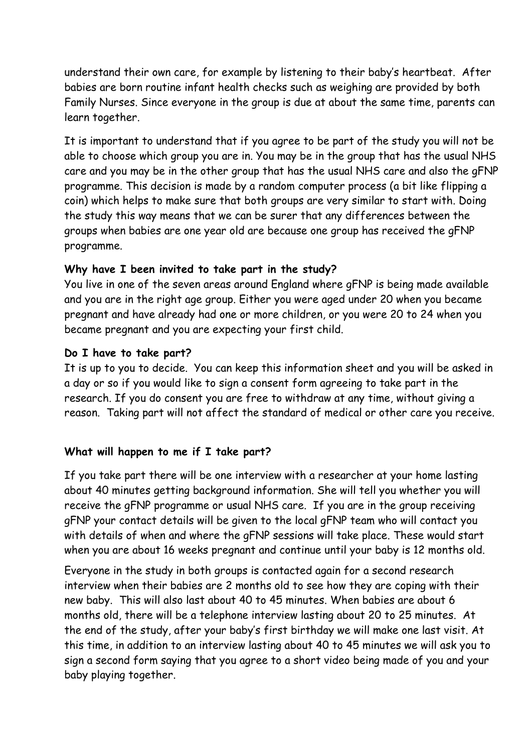understand their own care, for example by listening to their baby's heartbeat. After babies are born routine infant health checks such as weighing are provided by both Family Nurses. Since everyone in the group is due at about the same time, parents can learn together.

It is important to understand that if you agree to be part of the study you will not be able to choose which group you are in. You may be in the group that has the usual NHS care and you may be in the other group that has the usual NHS care and also the gFNP programme. This decision is made by a random computer process (a bit like flipping a coin) which helps to make sure that both groups are very similar to start with. Doing the study this way means that we can be surer that any differences between the groups when babies are one year old are because one group has received the gFNP programme.

### **Why have I been invited to take part in the study?**

You live in one of the seven areas around England where gFNP is being made available and you are in the right age group. Either you were aged under 20 when you became pregnant and have already had one or more children, or you were 20 to 24 when you became pregnant and you are expecting your first child.

### **Do I have to take part?**

It is up to you to decide. You can keep this information sheet and you will be asked in a day or so if you would like to sign a consent form agreeing to take part in the research. If you do consent you are free to withdraw at any time, without giving a reason. Taking part will not affect the standard of medical or other care you receive.

### **What will happen to me if I take part?**

If you take part there will be one interview with a researcher at your home lasting about 40 minutes getting background information. She will tell you whether you will receive the gFNP programme or usual NHS care. If you are in the group receiving gFNP your contact details will be given to the local gFNP team who will contact you with details of when and where the gFNP sessions will take place. These would start when you are about 16 weeks pregnant and continue until your baby is 12 months old.

Everyone in the study in both groups is contacted again for a second research interview when their babies are 2 months old to see how they are coping with their new baby. This will also last about 40 to 45 minutes. When babies are about 6 months old, there will be a telephone interview lasting about 20 to 25 minutes. At the end of the study, after your baby's first birthday we will make one last visit. At this time, in addition to an interview lasting about 40 to 45 minutes we will ask you to sign a second form saying that you agree to a short video being made of you and your baby playing together.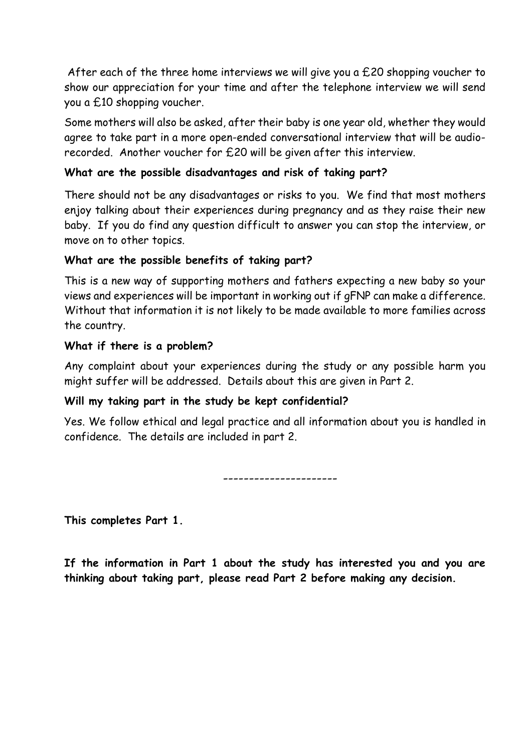After each of the three home interviews we will give you a  $£20$  shopping voucher to show our appreciation for your time and after the telephone interview we will send you a £10 shopping voucher.

Some mothers will also be asked, after their baby is one year old, whether they would agree to take part in a more open-ended conversational interview that will be audiorecorded. Another voucher for £20 will be given after this interview.

### **What are the possible disadvantages and risk of taking part?**

There should not be any disadvantages or risks to you. We find that most mothers enjoy talking about their experiences during pregnancy and as they raise their new baby. If you do find any question difficult to answer you can stop the interview, or move on to other topics.

### **What are the possible benefits of taking part?**

This is a new way of supporting mothers and fathers expecting a new baby so your views and experiences will be important in working out if gFNP can make a difference. Without that information it is not likely to be made available to more families across the country.

#### **What if there is a problem?**

Any complaint about your experiences during the study or any possible harm you might suffer will be addressed. Details about this are given in Part 2.

### **Will my taking part in the study be kept confidential?**

Yes. We follow ethical and legal practice and all information about you is handled in confidence. The details are included in part 2.

----------------------

**This completes Part 1.** 

**If the information in Part 1 about the study has interested you and you are thinking about taking part, please read Part 2 before making any decision.**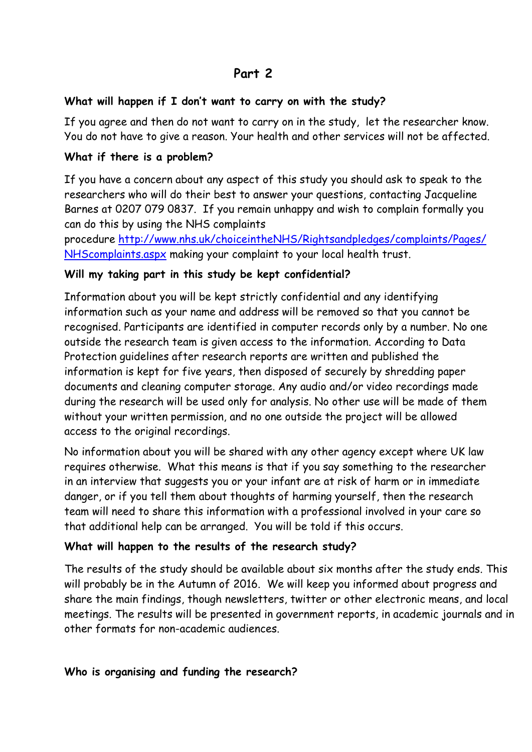### **Part 2**

### **What will happen if I don't want to carry on with the study?**

If you agree and then do not want to carry on in the study, let the researcher know. You do not have to give a reason. Your health and other services will not be affected.

### **What if there is a problem?**

If you have a concern about any aspect of this study you should ask to speak to the researchers who will do their best to answer your questions, contacting Jacqueline Barnes at 0207 079 0837. If you remain unhappy and wish to complain formally you can do this by using the NHS complaints

procedure [http://www.nhs.uk/choiceintheNHS/Rightsandpledges/complaints/Pages/](http://www.nhs.uk/choiceintheNHS/Rightsandpledges/complaints/Pages/NHScomplaints.aspx) [NHScomplaints.aspx](http://www.nhs.uk/choiceintheNHS/Rightsandpledges/complaints/Pages/NHScomplaints.aspx) making your complaint to your local health trust.

### **Will my taking part in this study be kept confidential?**

Information about you will be kept strictly confidential and any identifying information such as your name and address will be removed so that you cannot be recognised. Participants are identified in computer records only by a number. No one outside the research team is given access to the information. According to Data Protection guidelines after research reports are written and published the information is kept for five years, then disposed of securely by shredding paper documents and cleaning computer storage. Any audio and/or video recordings made during the research will be used only for analysis. No other use will be made of them without your written permission, and no one outside the project will be allowed access to the original recordings.

No information about you will be shared with any other agency except where UK law requires otherwise. What this means is that if you say something to the researcher in an interview that suggests you or your infant are at risk of harm or in immediate danger, or if you tell them about thoughts of harming yourself, then the research team will need to share this information with a professional involved in your care so that additional help can be arranged. You will be told if this occurs.

### **What will happen to the results of the research study?**

The results of the study should be available about six months after the study ends. This will probably be in the Autumn of 2016. We will keep you informed about progress and share the main findings, though newsletters, twitter or other electronic means, and local meetings. The results will be presented in government reports, in academic journals and in other formats for non-academic audiences.

### **Who is organising and funding the research?**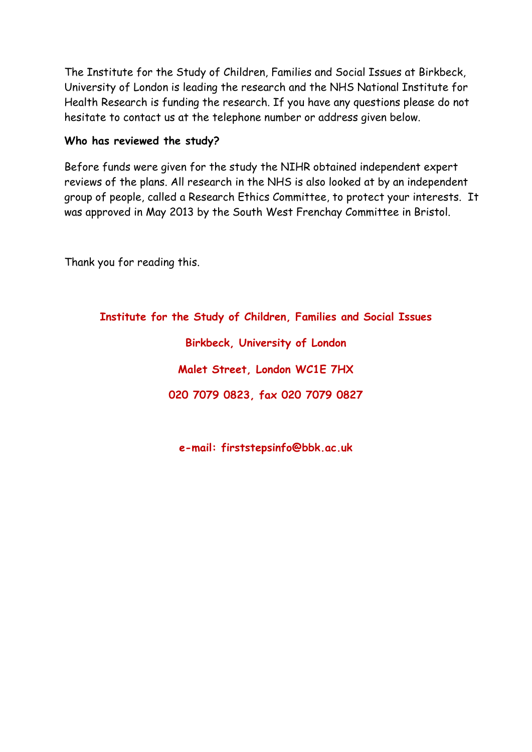The Institute for the Study of Children, Families and Social Issues at Birkbeck, University of London is leading the research and the NHS National Institute for Health Research is funding the research. If you have any questions please do not hesitate to contact us at the telephone number or address given below.

### **Who has reviewed the study?**

Before funds were given for the study the NIHR obtained independent expert reviews of the plans. All research in the NHS is also looked at by an independent group of people, called a Research Ethics Committee, to protect your interests. It was approved in May 2013 by the South West Frenchay Committee in Bristol.

Thank you for reading this.

**Institute for the Study of Children, Families and Social Issues**

**Birkbeck, University of London Malet Street, London WC1E 7HX 020 7079 0823, fax 020 7079 0827**

**e-mail: firststepsinfo@bbk.ac.uk**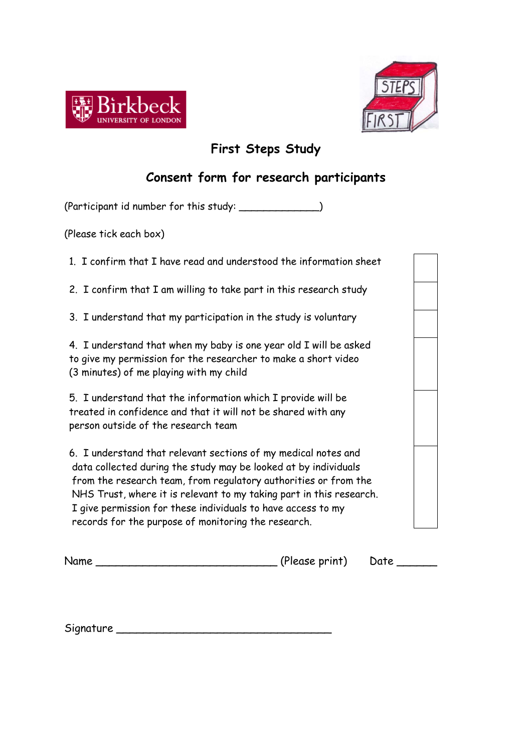



# **First Steps Study**

## **Consent form for research participants**

(Participant id number for this study: \_\_\_\_\_\_\_\_\_\_\_\_\_)

(Please tick each box)

1. I confirm that I have read and understood the information sheet

2. I confirm that I am willing to take part in this research study

3. I understand that my participation in the study is voluntary

4. I understand that when my baby is one year old I will be asked to give my permission for the researcher to make a short video (3 minutes) of me playing with my child

5. I understand that the information which I provide will be treated in confidence and that it will not be shared with any person outside of the research team

6. I understand that relevant sections of my medical notes and data collected during the study may be looked at by individuals from the research team, from regulatory authorities or from the NHS Trust, where it is relevant to my taking part in this research. I give permission for these individuals to have access to my records for the purpose of monitoring the research.

| Jame |  |  |
|------|--|--|

Name \_\_\_\_\_\_\_\_\_\_\_\_\_\_\_\_\_\_\_\_\_\_\_\_\_\_\_ (Please print) Date \_\_\_\_\_\_

Signature \_\_\_\_\_\_\_\_\_\_\_\_\_\_\_\_\_\_\_\_\_\_\_\_\_\_\_\_\_\_\_\_